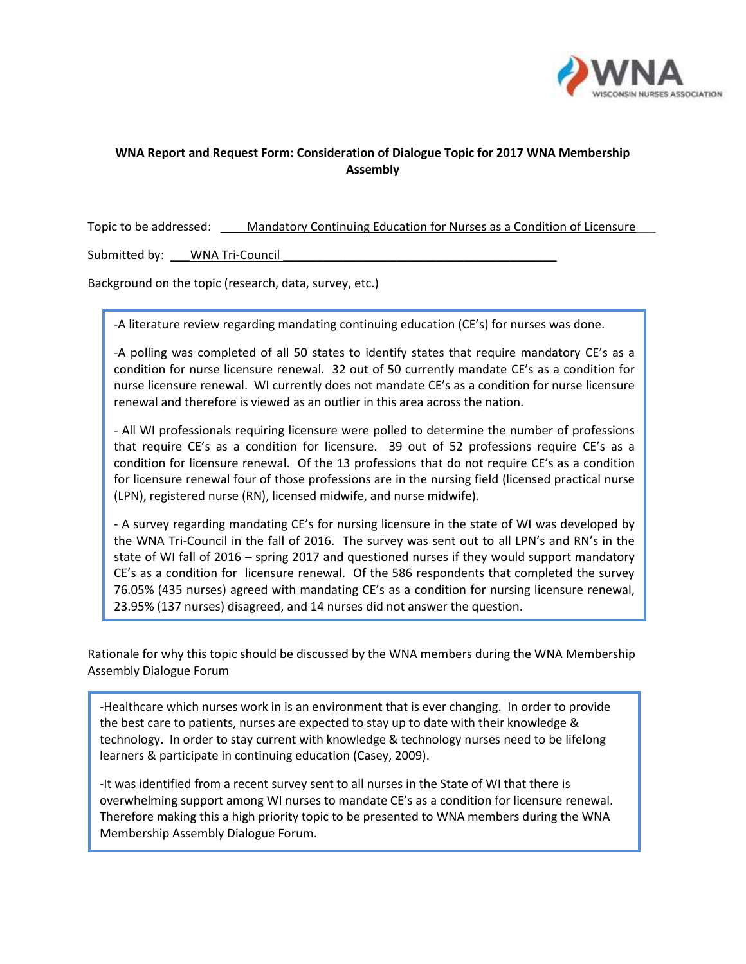

## **WNA Report and Request Form: Consideration of Dialogue Topic for 2017 WNA Membership Assembly**

Topic to be addressed: \_\_\_\_\_Mandatory Continuing Education for Nurses as a Condition of Licensure

Submitted by: \_\_\_\_ WNA Tri-Council

Background on the topic (research, data, survey, etc.)

-A literature review regarding mandating continuing education (CE's) for nurses was done.

-A polling was completed of all 50 states to identify states that require mandatory CE's as a condition for nurse licensure renewal. 32 out of 50 currently mandate CE's as a condition for nurse licensure renewal. WI currently does not mandate CE's as a condition for nurse licensure renewal and therefore is viewed as an outlier in this area across the nation.

- All WI professionals requiring licensure were polled to determine the number of professions that require CE's as a condition for licensure. 39 out of 52 professions require CE's as a condition for licensure renewal. Of the 13 professions that do not require CE's as a condition for licensure renewal four of those professions are in the nursing field (licensed practical nurse (LPN), registered nurse (RN), licensed midwife, and nurse midwife).

- A survey regarding mandating CE's for nursing licensure in the state of WI was developed by the WNA Tri-Council in the fall of 2016. The survey was sent out to all LPN's and RN's in the state of WI fall of 2016 – spring 2017 and questioned nurses if they would support mandatory CE's as a condition for licensure renewal. Of the 586 respondents that completed the survey 76.05% (435 nurses) agreed with mandating CE's as a condition for nursing licensure renewal, 23.95% (137 nurses) disagreed, and 14 nurses did not answer the question.

Rationale for why this topic should be discussed by the WNA members during the WNA Membership Assembly Dialogue Forum

-Healthcare which nurses work in is an environment that is ever changing. In order to provide the best care to patients, nurses are expected to stay up to date with their knowledge & technology. In order to stay current with knowledge & technology nurses need to be lifelong learners & participate in continuing education (Casey, 2009).

-It was identified from a recent survey sent to all nurses in the State of WI that there is overwhelming support among WI nurses to mandate CE's as a condition for licensure renewal. Therefore making this a high priority topic to be presented to WNA members during the WNA Membership Assembly Dialogue Forum.